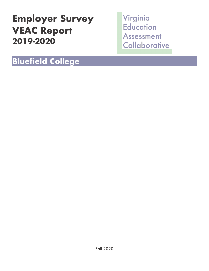# **Employer Survey VEAC Report 2019-2020**

Virginia **Education** Assessment Collaborative

## **Bluefield College**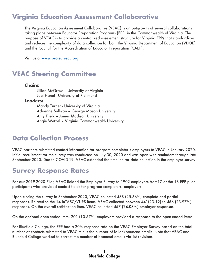#### **Virginia Education Assessment Collaborative**

The Virginia Education Assessment Collaborative (VEAC) is an outgrowth of several collaborations taking place between Educator Preparation Programs (EPP) in the Commonwealth of Virginia. The purpose of VEAC is to provide a centralized assessment structure for Virginia EPPs that standardizes and reduces the complexity of data collection for both the Virginia Department of Education (VDOE) and the Council for the Accreditation of Educator Preparation (CAEP).

Visit us at www.projectveac.org.

#### **VEAC Steering Committee**

#### **Chairs:**

Jillian McGraw – University of Virginia Joel Hanel - University of Richmond

**Leaders:**

Mandy Turner - University of Virginia Adrienne Sullivan – George Mason University Amy Thelk – James Madison University Angie Wetzel – Virginia Commonwealth University

#### **Data Collection Process**

VEAC partners submitted contact information for program completer's employers to VEAC in January 2020. Initial recruitment for the survey was conducted on July 30, 2020 and was open with reminders through late September 2020. Due to COVID-19, VEAC extended the timeline for data collection in the employer survey.

#### **Survey Response Rates**

For our 2019-2020 Pilot, VEAC fielded the Employer Survey to 1902 employers from17 of the 18 EPP pilot participants who provided contact fields for program completers' employers.

Upon closing the survey in September 2020, VEAC collected 488 (25.66%) complete and partial responses. Related to the 14 InTASC/VUPS items, VEAC collected between 441(23.19) to 456 (23.97%) responses. On the overall satisfaction item, VEAC collected 457 (24.03%) employer responses.

On the optional open-ended item, 201 (10.57%) employers provided a response to the open-ended items.

For Bluefield College, the EPP had a 20% response rate on the VEAC Employer Survey based on the total number of contacts submitted to VEAC minus the number of failed/bounced emails. Note that VEAC and Bluefield College worked to correct the number of bounced emails via list revisions.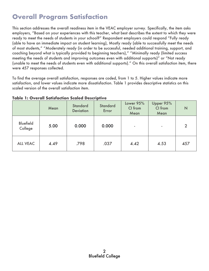### **Overall Program Satisfaction**

This section addresses the overall readiness item in the VEAC employer survey. Specifically, the item asks employers, "Based on your experiences with this teacher, what best describes the extent to which they were ready to meet the needs of students in your school?" Respondent employers could respond "Fully ready (able to have an immediate impact on student learning), Mostly ready (able to successfully meet the needs of most students," "Moderately ready (in order to be successful, needed additional training, support, and coaching beyond what is typically provided to beginning teachers)," "Minimally ready (limited success meeting the needs of students and improving outcomes even with additional supports)" or "Not ready (unable to meet the needs of students even with additional supports)." On this overall satisfaction item, there were 457 responses collected.

To find the average overall satisfaction, responses are coded, from 1 to 5. Higher values indicate more satisfaction, and lower values indicate more dissatisfaction. Table 1 provides descriptive statistics on this scaled version of the overall satisfaction item.

|                             | Mean | <b>Standard</b><br><b>Deviation</b> | <b>Standard</b><br>Error | Lower 95%<br>CI from<br>Mean | Upper 95%<br>CI from<br>Mean | N              |
|-----------------------------|------|-------------------------------------|--------------------------|------------------------------|------------------------------|----------------|
| <b>Bluefield</b><br>College | 5.00 | 0.000                               | 0.000                    | $\sim$                       | $\overline{\phantom{a}}$     | $\overline{2}$ |
| <b>ALL VEAC</b>             | 4.49 | .798                                | .037                     | 4.42                         | 4.53                         | 457            |

**Table 1: Overall Satisfaction Scaled Descriptive**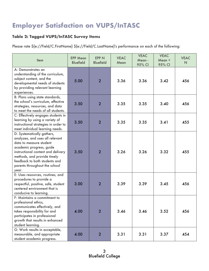### **Employer Satisfaction on VUPS/InTASC**

#### **Table 2: Tagged VUPS/InTASC Survey Items**

Please rate \${e://Field/C.FirstName} \${e://Field/C.LastName}'s performance on each of the following:

| Item                                                                                                                                                                                                                                                                 | <b>EPP Mean</b><br><b>Bluefield</b> | <b>EPP N</b><br><b>Bluefield</b> | <b>VEAC</b><br>Mean | <b>VEAC</b><br>Mean-<br>95% CI | <b>VEAC</b><br>Mean +<br>95% CI | <b>VEAC</b><br>N |
|----------------------------------------------------------------------------------------------------------------------------------------------------------------------------------------------------------------------------------------------------------------------|-------------------------------------|----------------------------------|---------------------|--------------------------------|---------------------------------|------------------|
| A: Demonstrates an<br>understanding of the curriculum,<br>subject content, and the<br>developmental needs of students<br>by providing relevant learning<br>experiences.                                                                                              | 5.00                                | $\overline{2}$                   | 3.36                | 3.36                           | 3.42                            | 456              |
| B: Plans using state standards,<br>the school's curriculum, effective<br>strategies, resources, and data<br>to meet the needs of all students.                                                                                                                       | 3.50                                | $\overline{2}$                   | 3.35                | 3.35                           | 3.40                            | 456              |
| C: Effectively engages students in<br>learning by using a variety of<br>instructional strategies in order to<br>meet individual learning needs.                                                                                                                      | 3.50                                | $\overline{2}$                   | 3.35                | 3.35                           | 3.41                            | 455              |
| D: Systematically gathers,<br>analyzes, and uses all relevant<br>data to measure student<br>academic progress, guide<br>instructional content and delivery<br>methods, and provide timely<br>feedback to both students and<br>parents throughout the school<br>year. | 3.50                                | $\overline{2}$                   | 3.26                | 3.26                           | 3.32                            | 455              |
| E: Uses resources, routines, and<br>procedures to provide a<br>respectful, positive, safe, student<br>centered environment that is<br>conducive to learning.                                                                                                         | 3.00                                | $\overline{2}$                   | 3.39                | 3.39                           | 3.45                            | 456              |
| F: Maintains a commitment to<br>professional ethics,<br>communicates effectively, and<br>takes responsibility for and<br>participates in professional<br>growth that results in enhanced<br>student learning.                                                        | 4.00                                | $\overline{2}$                   | 3.46                | 3.46                           | 3.52                            | 456              |
| G: Work results in acceptable,<br>measurable, and appropriate<br>student academic progress.                                                                                                                                                                          | 4.00                                | $\overline{2}$                   | 3.31                | 3.31                           | 3.37                            | 454              |